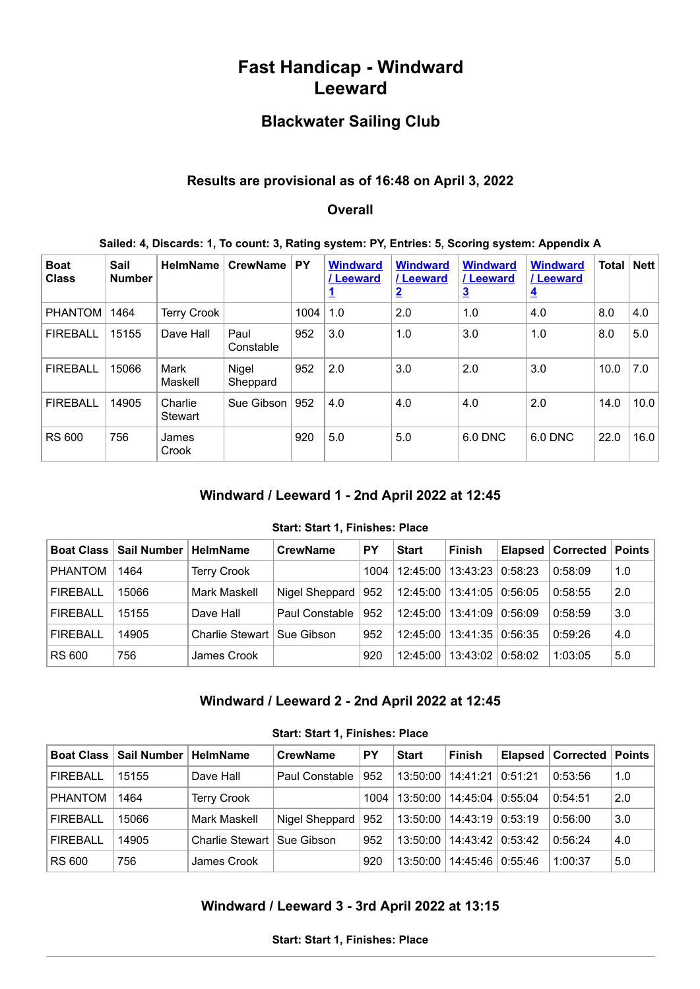# **Fast Handicap - Windward Leeward**

# **Blackwater Sailing Club**

#### **Results are provisional as of 16:48 on April 3, 2022**

#### **Overall**

#### **Sailed: 4, Discards: 1, To count: 3, Rating system: PY, Entries: 5, Scoring system: Appendix A**

| <b>Boat</b><br><b>Class</b> | Sail<br><b>Number</b> | <b>HelmName</b>    | <b>CrewName</b>   | <b>PY</b> | <b>Windward</b><br>/ Leeward | <b>Windward</b><br>/Leeward<br>$\overline{2}$ | <b>Windward</b><br>/ Leeward<br>$\overline{\mathbf{3}}$ | <b>Windward</b><br>/ Leeward<br>$\overline{4}$ | <b>Total</b> | <b>Nett</b> |
|-----------------------------|-----------------------|--------------------|-------------------|-----------|------------------------------|-----------------------------------------------|---------------------------------------------------------|------------------------------------------------|--------------|-------------|
| <b>PHANTOM</b>              | 1464                  | <b>Terry Crook</b> |                   | 1004      | 1.0                          | 2.0                                           | 1.0                                                     | 4.0                                            | 8.0          | 4.0         |
| <b>FIREBALL</b>             | 15155                 | Dave Hall          | Paul<br>Constable | 952       | 3.0                          | 1.0                                           | 3.0                                                     | 1.0                                            | 8.0          | 5.0         |
| <b>FIREBALL</b>             | 15066                 | Mark<br>Maskell    | Nigel<br>Sheppard | 952       | 2.0                          | 3.0                                           | 2.0                                                     | 3.0                                            | 10.0         | 7.0         |
| <b>FIREBALL</b>             | 14905                 | Charlie<br>Stewart | Sue Gibson        | 952       | 4.0                          | 4.0                                           | 4.0                                                     | 2.0                                            | 14.0         | 10.0        |
| <b>RS 600</b>               | 756                   | James<br>Crook     |                   | 920       | 5.0                          | 5.0                                           | 6.0 DNC                                                 | 6.0 DNC                                        | 22.0         | 16.0        |

#### **Windward / Leeward 1 - 2nd April 2022 at 12:45**

#### **Start: Start 1, Finishes: Place**

<span id="page-0-0"></span>

| <b>Boat Class  </b> | Sail Number | <b>HelmName</b>              | <b>CrewName</b> | <b>PY</b> | <b>Start</b> | <b>Finish</b>      | <b>Elapsed   Corrected   Points  </b> |     |
|---------------------|-------------|------------------------------|-----------------|-----------|--------------|--------------------|---------------------------------------|-----|
| <b>PHANTOM</b>      | 1464        | <b>Terry Crook</b>           |                 | 1004      | 12:45:00     | 13:43:23   0:58:23 | 0:58:09                               | 1.0 |
| <b>FIREBALL</b>     | 15066       | Mark Maskell                 | Nigel Sheppard  | 952       | 12:45:00     | 13:41:05   0:56:05 | 0:58:55                               | 2.0 |
| <b>FIREBALL</b>     | 15155       | Dave Hall                    | Paul Constable  | 952       | 12:45:00     |                    | 0:58:59                               | 3.0 |
| <b>FIREBALL</b>     | 14905       | Charlie Stewart   Sue Gibson |                 | 952       | 12:45:00     | 13:41:35   0:56:35 | 0:59:26                               | 4.0 |
| <b>RS 600</b>       | 756         | James Crook                  |                 | 920       | 12:45:00     | 13:43:02 0:58:02   | 1:03:05                               | 5.0 |

### **Windward / Leeward 2 - 2nd April 2022 at 12:45**

|  |  |  | Start: Start 1, Finishes: Place |  |
|--|--|--|---------------------------------|--|
|--|--|--|---------------------------------|--|

<span id="page-0-2"></span><span id="page-0-1"></span>

| <b>Boat Class  </b> | Sail Number   HelmName |                              | <b>CrewName</b> | <b>PY</b> | <b>Start</b> | <b>Finish</b>    |         | Elapsed   Corrected | Points |
|---------------------|------------------------|------------------------------|-----------------|-----------|--------------|------------------|---------|---------------------|--------|
| <b>FIREBALL</b>     | 15155                  | Dave Hall                    | Paul Constable  | 952       | 13:50:00     | 14:41:21         | 0:51:21 | 0:53:56             | 1.0    |
| <b>PHANTOM</b>      | 1464                   | <b>Terry Crook</b>           |                 | 1004      | 13:50:00     | 14:45:04         | 0:55:04 | 0:54:51             | 2.0    |
| <b>FIREBALL</b>     | 15066                  | Mark Maskell                 | Nigel Sheppard  | 952       | 13:50:00     | 14:43:19 0:53:19 |         | 0:56:00             | 3.0    |
| <b>FIREBALL</b>     | 14905                  | Charlie Stewart   Sue Gibson |                 | 952       | 13:50:00     | 14:43:42         | 0:53:42 | 0:56:24             | 4.0    |
| <b>RS 600</b>       | 756                    | James Crook                  |                 | 920       | 13:50:00     | 14:45:46         | 0:55:46 | 1:00:37             | 5.0    |

### **Windward / Leeward 3 - 3rd April 2022 at 13:15**